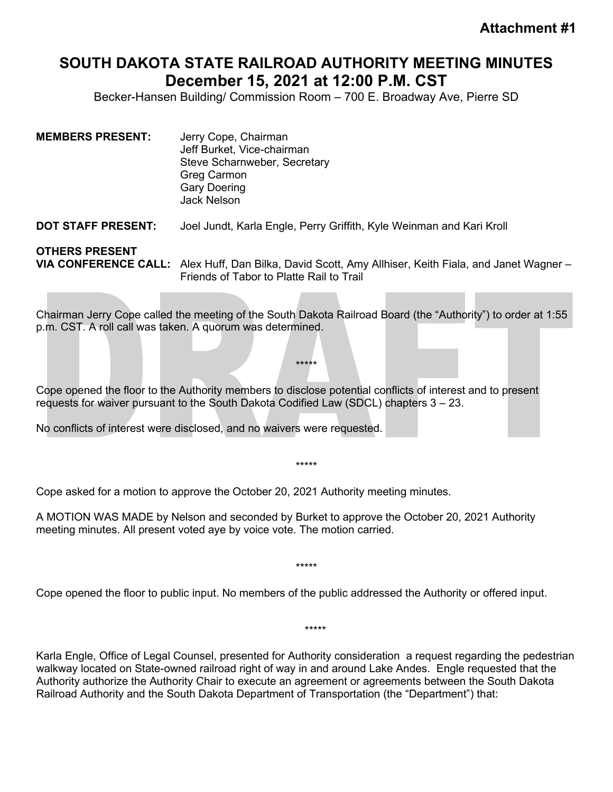## **SOUTH DAKOTA STATE RAILROAD AUTHORITY MEETING MINUTES December 15, 2021 at 12:00 P.M. CST**

Becker-Hansen Building/ Commission Room – 700 E. Broadway Ave, Pierre SD

| <b>MEMBERS PRESENT:</b>   | Jerry Cope, Chairman<br>Jeff Burket, Vice-chairman<br>Steve Scharnweber, Secretary<br>Greg Carmon<br><b>Gary Doering</b><br><b>Jack Nelson</b> |
|---------------------------|------------------------------------------------------------------------------------------------------------------------------------------------|
| <b>DOT STAFF PRESENT:</b> | Joel Jundt, Karla Engle, Perry Griffith, Kyle Weinman and Kari Kroll                                                                           |
| <b>OTHERS PRESENT</b>     |                                                                                                                                                |

**VIA CONFERENCE CALL:** Alex Huff, Dan Bilka, David Scott, Amy Allhiser, Keith Fiala, and Janet Wagner – Friends of Tabor to Platte Rail to Trail

Chairman Jerry Cope called the meeting of the South Dakota Railroad Board (the "Authority") to order at 1:55 p.m. CST. A roll call was taken. A quorum was determined.

\*\*\*\*\*

Cope opened the floor to the Authority members to disclose potential conflicts of interest and to present requests for waiver pursuant to the South Dakota Codified Law (SDCL) chapters 3 – 23.

No conflicts of interest were disclosed, and no waivers were requested.

\*\*\*\*\*

Cope asked for a motion to approve the October 20, 2021 Authority meeting minutes.

A MOTION WAS MADE by Nelson and seconded by Burket to approve the October 20, 2021 Authority meeting minutes. All present voted aye by voice vote. The motion carried.

\*\*\*\*\*

Cope opened the floor to public input. No members of the public addressed the Authority or offered input.

Karla Engle, Office of Legal Counsel, presented for Authority consideration a request regarding the pedestrian walkway located on State-owned railroad right of way in and around Lake Andes. Engle requested that the Authority authorize the Authority Chair to execute an agreement or agreements between the South Dakota Railroad Authority and the South Dakota Department of Transportation (the "Department") that:

\*\*\*\*\*